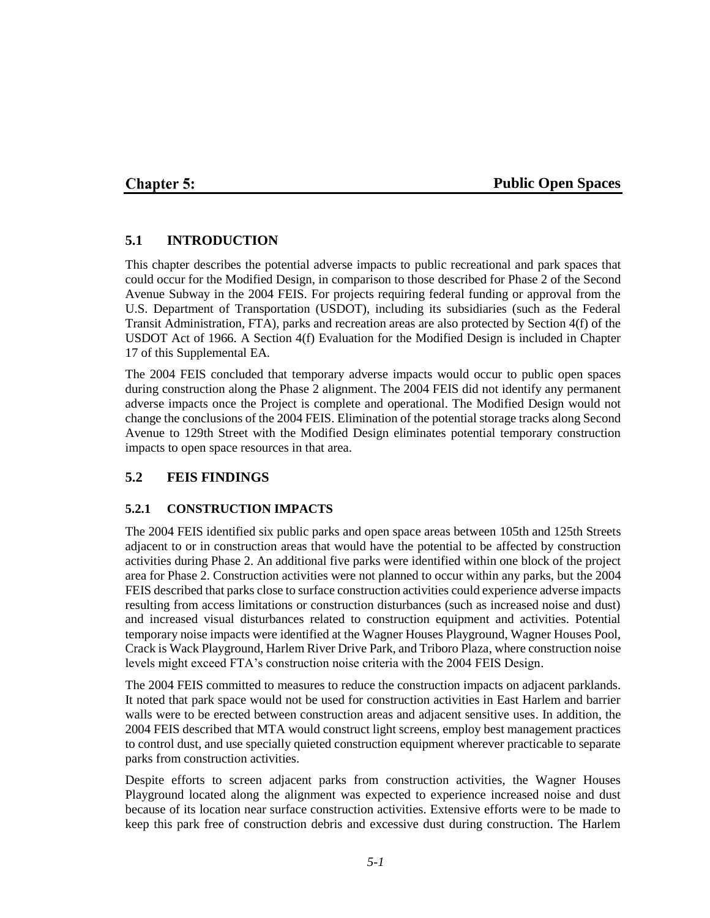## **Chapter 5:**

### **Public Open Spaces**

### **5.1 INTRODUCTION**

This chapter describes the potential adverse impacts to public recreational and park spaces that could occur for the Modified Design, in comparison to those described for Phase 2 of the Second Avenue Subway in the 2004 FEIS. For projects requiring federal funding or approval from the U.S. Department of Transportation (USDOT), including its subsidiaries (such as the Federal Transit Administration, FTA), parks and recreation areas are also protected by Section 4(f) of the USDOT Act of 1966. A Section 4(f) Evaluation for the Modified Design is included in Chapter 17 of this Supplemental EA.

The 2004 FEIS concluded that temporary adverse impacts would occur to public open spaces during construction along the Phase 2 alignment. The 2004 FEIS did not identify any permanent adverse impacts once the Project is complete and operational. The Modified Design would not change the conclusions of the 2004 FEIS. Elimination of the potential storage tracks along Second Avenue to 129th Street with the Modified Design eliminates potential temporary construction impacts to open space resources in that area.

### **5.2 FEIS FINDINGS**

### **5.2.1 CONSTRUCTION IMPACTS**

The 2004 FEIS identified six public parks and open space areas between 105th and 125th Streets adjacent to or in construction areas that would have the potential to be affected by construction activities during Phase 2. An additional five parks were identified within one block of the project area for Phase 2. Construction activities were not planned to occur within any parks, but the 2004 FEIS described that parks close to surface construction activities could experience adverse impacts resulting from access limitations or construction disturbances (such as increased noise and dust) and increased visual disturbances related to construction equipment and activities. Potential temporary noise impacts were identified at the Wagner Houses Playground, Wagner Houses Pool, Crack is Wack Playground, Harlem River Drive Park, and Triboro Plaza, where construction noise levels might exceed FTA's construction noise criteria with the 2004 FEIS Design.

The 2004 FEIS committed to measures to reduce the construction impacts on adjacent parklands. It noted that park space would not be used for construction activities in East Harlem and barrier walls were to be erected between construction areas and adjacent sensitive uses. In addition, the 2004 FEIS described that MTA would construct light screens, employ best management practices to control dust, and use specially quieted construction equipment wherever practicable to separate parks from construction activities.

Despite efforts to screen adjacent parks from construction activities, the Wagner Houses Playground located along the alignment was expected to experience increased noise and dust because of its location near surface construction activities. Extensive efforts were to be made to keep this park free of construction debris and excessive dust during construction. The Harlem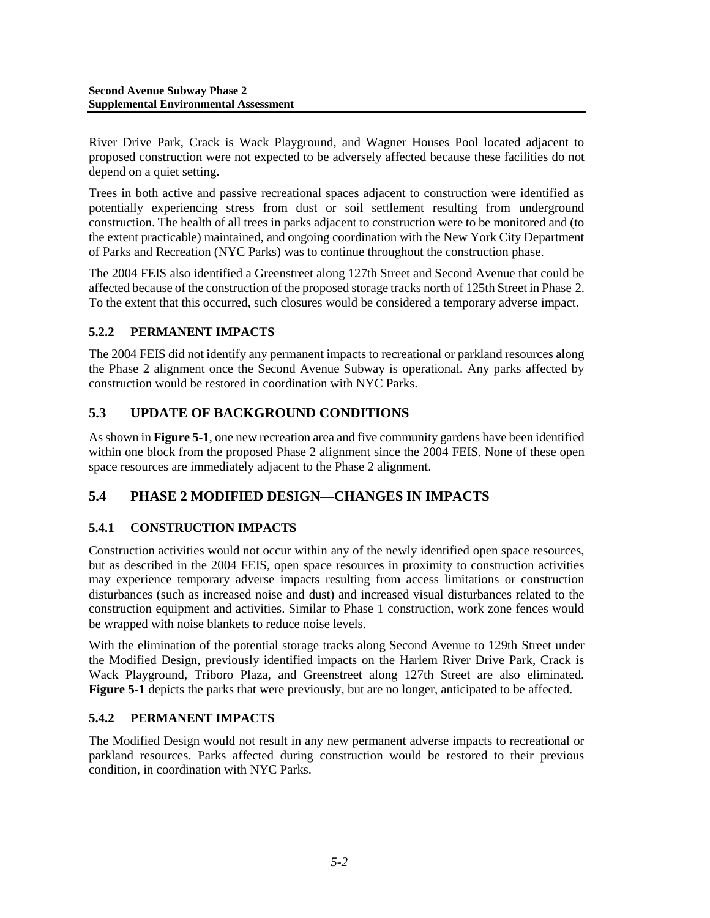River Drive Park, Crack is Wack Playground, and Wagner Houses Pool located adjacent to proposed construction were not expected to be adversely affected because these facilities do not depend on a quiet setting.

Trees in both active and passive recreational spaces adjacent to construction were identified as potentially experiencing stress from dust or soil settlement resulting from underground construction. The health of all trees in parks adjacent to construction were to be monitored and (to the extent practicable) maintained, and ongoing coordination with the New York City Department of Parks and Recreation (NYC Parks) was to continue throughout the construction phase.

The 2004 FEIS also identified a Greenstreet along 127th Street and Second Avenue that could be affected because of the construction of the proposed storage tracks north of 125th Street in Phase 2. To the extent that this occurred, such closures would be considered a temporary adverse impact.

### **5.2.2 PERMANENT IMPACTS**

The 2004 FEIS did not identify any permanent impacts to recreational or parkland resources along the Phase 2 alignment once the Second Avenue Subway is operational. Any parks affected by construction would be restored in coordination with NYC Parks.

# **5.3 UPDATE OF BACKGROUND CONDITIONS**

As shown in **Figure 5-1**, one new recreation area and five community gardens have been identified within one block from the proposed Phase 2 alignment since the 2004 FEIS. None of these open space resources are immediately adjacent to the Phase 2 alignment.

## **5.4 PHASE 2 MODIFIED DESIGN—CHANGES IN IMPACTS**

### **5.4.1 CONSTRUCTION IMPACTS**

Construction activities would not occur within any of the newly identified open space resources, but as described in the 2004 FEIS, open space resources in proximity to construction activities may experience temporary adverse impacts resulting from access limitations or construction disturbances (such as increased noise and dust) and increased visual disturbances related to the construction equipment and activities. Similar to Phase 1 construction, work zone fences would be wrapped with noise blankets to reduce noise levels.

With the elimination of the potential storage tracks along Second Avenue to 129th Street under the Modified Design, previously identified impacts on the Harlem River Drive Park, Crack is Wack Playground, Triboro Plaza, and Greenstreet along 127th Street are also eliminated. **Figure 5-1** depicts the parks that were previously, but are no longer, anticipated to be affected.

### **5.4.2 PERMANENT IMPACTS**

The Modified Design would not result in any new permanent adverse impacts to recreational or parkland resources. Parks affected during construction would be restored to their previous condition, in coordination with NYC Parks.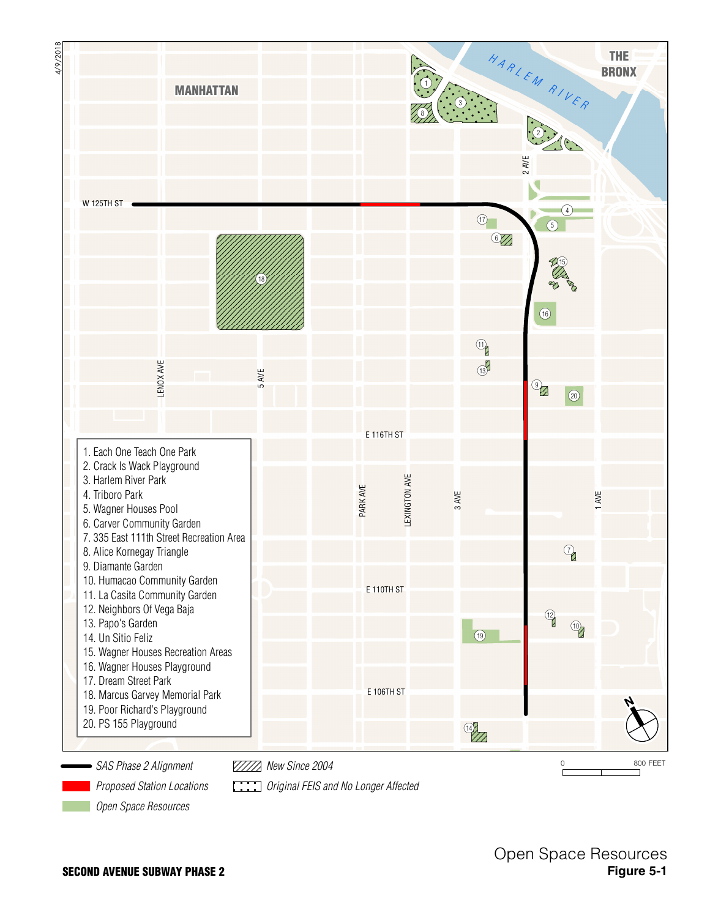

*SAS Phase 2 Alignment*

*New Since 2004*

*Proposed Station Locations*

*Original FEIS and No Longer Affected*

0 800 FEET

*Open Space Resources*